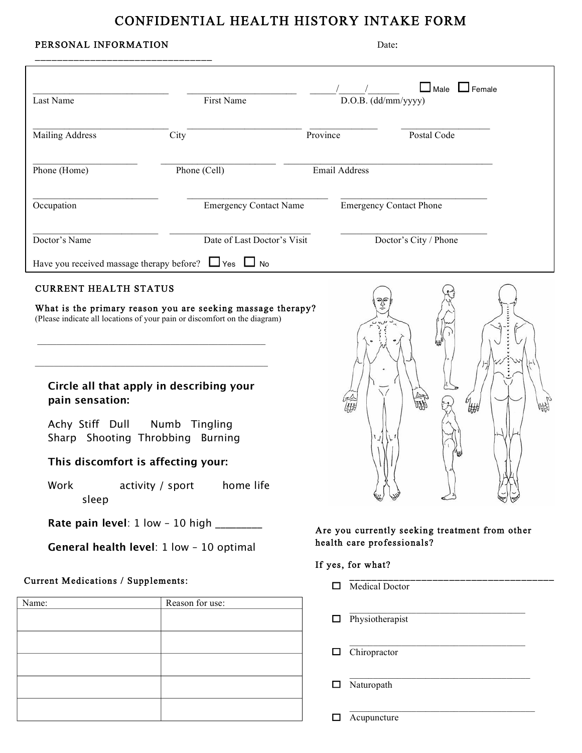## CONFIDENTIAL HEALTH HISTORY INTAKE FORM

## PERSONAL INFORMATION Date:

j

| Last Name                                                                                                                                                                                                 | <b>First Name</b>                                                                                                                                                                          |          | $D.O.B.$ (dd/mm/yyyy)          |                       | $\Box$ Male $\Box$ Female                      |
|-----------------------------------------------------------------------------------------------------------------------------------------------------------------------------------------------------------|--------------------------------------------------------------------------------------------------------------------------------------------------------------------------------------------|----------|--------------------------------|-----------------------|------------------------------------------------|
| <b>Mailing Address</b>                                                                                                                                                                                    | City                                                                                                                                                                                       | Province |                                | Postal Code           |                                                |
| Phone (Home)                                                                                                                                                                                              | Phone (Cell)                                                                                                                                                                               |          | <b>Email Address</b>           |                       |                                                |
| Occupation                                                                                                                                                                                                | <b>Emergency Contact Name</b>                                                                                                                                                              |          | <b>Emergency Contact Phone</b> |                       |                                                |
| Doctor's Name                                                                                                                                                                                             | Date of Last Doctor's Visit                                                                                                                                                                |          |                                | Doctor's City / Phone |                                                |
| Have you received massage therapy before? $\Box$ Yes $\Box$ No                                                                                                                                            |                                                                                                                                                                                            |          |                                |                       |                                                |
| <b>CURRENT HEALTH STATUS</b><br>Circle all that apply in describing your<br>pain sensation:<br>Achy Stiff Dull<br>Sharp Shooting Throbbing Burning<br>This discomfort is affecting your:<br>Work<br>sleep | What is the primary reason you are seeking massage therapy?<br>(Please indicate all locations of your pain or discomfort on the diagram)<br>Numb Tingling<br>home life<br>activity / sport |          |                                |                       | ₩                                              |
| Rate pain level: 1 low - 10 high _________<br>General health level: 1 low - 10 optimal                                                                                                                    |                                                                                                                                                                                            |          | health care professionals?     |                       | Are you currently seeking treatment from other |
|                                                                                                                                                                                                           |                                                                                                                                                                                            |          | If yes, for what?              |                       |                                                |
| Current Medications / Supplements:                                                                                                                                                                        |                                                                                                                                                                                            | □        | Medical Doctor                 |                       |                                                |
| Name:                                                                                                                                                                                                     | Reason for use:                                                                                                                                                                            | □        | Physiotherapist                |                       |                                                |
|                                                                                                                                                                                                           |                                                                                                                                                                                            | □        | Chiropractor                   |                       |                                                |
|                                                                                                                                                                                                           |                                                                                                                                                                                            | □        | Naturopath                     |                       |                                                |

 $\Box$  Acupuncture

 $\mathcal{L}_\text{max}$  , and the set of the set of the set of the set of the set of the set of the set of the set of the set of the set of the set of the set of the set of the set of the set of the set of the set of the set of the